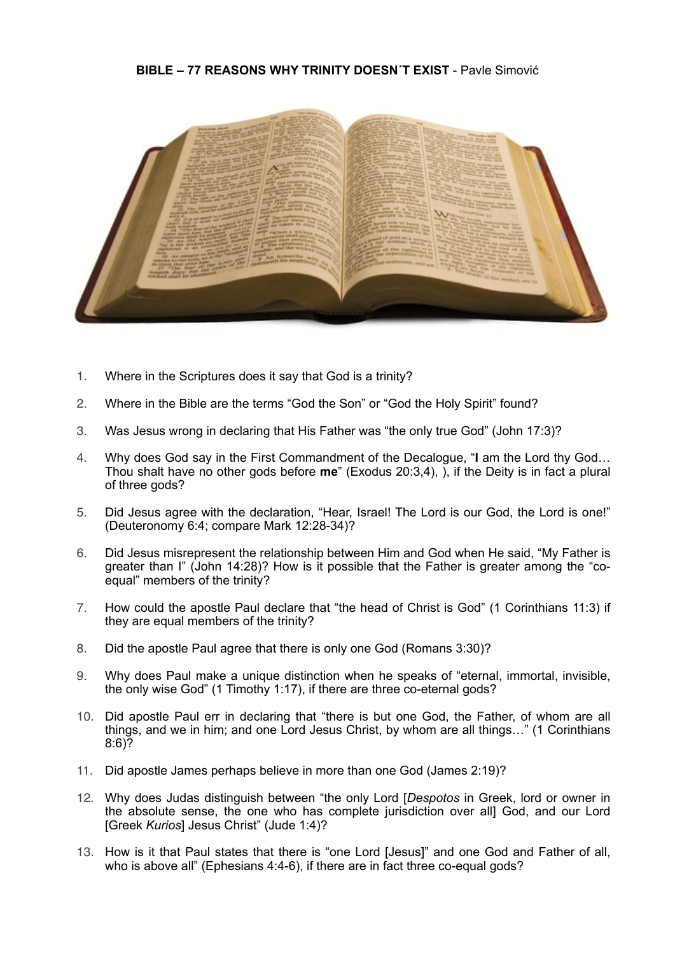## **BIBLE – 77 REASONS WHY TRINITY DOESN´T EXIST** - Pavle Simović



- 1. Where in the Scriptures does it say that God is a trinity?
- 2. Where in the Bible are the terms "God the Son" or "God the Holy Spirit" found?
- 3. Was Jesus wrong in declaring that His Father was "the only true God" (John 17:3)?
- 4. Why does God say in the First Commandment of the Decalogue, "**I** am the Lord thy God… Thou shalt have no other gods before **me**" (Exodus 20:3,4), ), if the Deity is in fact a plural of three gods?
- 5. Did Jesus agree with the declaration, "Hear, Israel! The Lord is our God, the Lord is one!" (Deuteronomy 6:4; compare Mark 12:28-34)?
- 6. Did Jesus misrepresent the relationship between Him and God when He said, "My Father is greater than I" (John 14:28)? How is it possible that the Father is greater among the "coequal" members of the trinity?
- 7. How could the apostle Paul declare that "the head of Christ is God" (1 Corinthians 11:3) if they are equal members of the trinity?
- 8. Did the apostle Paul agree that there is only one God (Romans 3:30)?
- 9. Why does Paul make a unique distinction when he speaks of "eternal, immortal, invisible, the only wise God" (1 Timothy 1:17), if there are three co-eternal gods?
- 10. Did apostle Paul err in declaring that "there is but one God, the Father, of whom are all things, and we in him; and one Lord Jesus Christ, by whom are all things…" (1 Corinthians 8:6)?
- 11. Did apostle James perhaps believe in more than one God (James 2:19)?
- 12. Why does Judas distinguish between "the only Lord [*Despotos* in Greek, lord or owner in the absolute sense, the one who has complete jurisdiction over all] God, and our Lord [Greek *Kurios*] Jesus Christ" (Jude 1:4)?
- 13. How is it that Paul states that there is "one Lord [Jesus]" and one God and Father of all, who is above all" (Ephesians 4:4-6), if there are in fact three co-equal gods?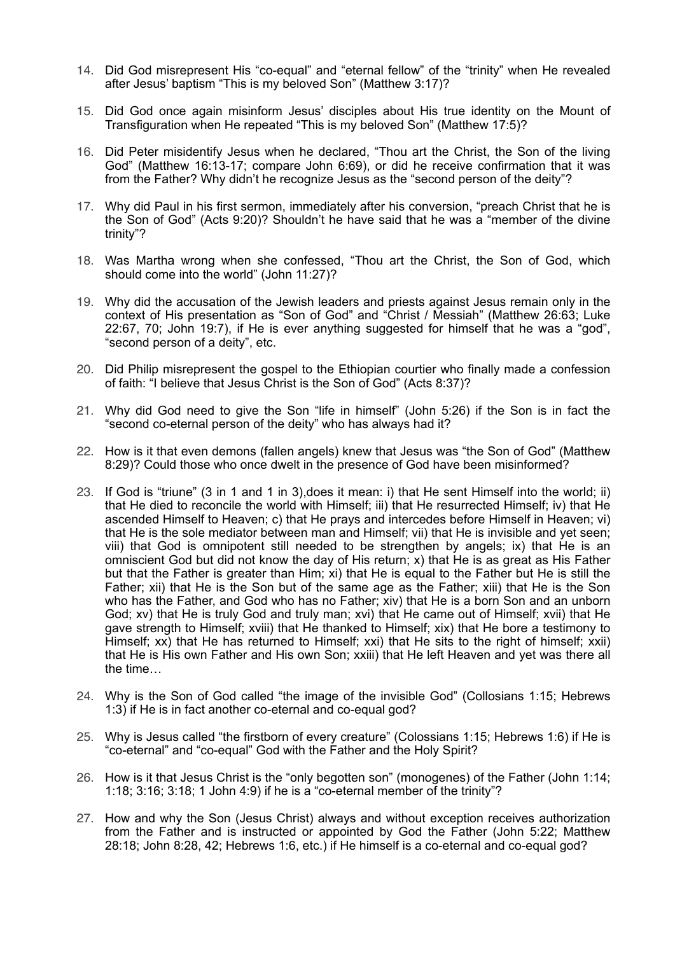- 14. Did God misrepresent His "co-equal" and "eternal fellow" of the "trinity" when He revealed after Jesus' baptism "This is my beloved Son" (Matthew 3:17)?
- 15. Did God once again misinform Jesus' disciples about His true identity on the Mount of Transfiguration when He repeated "This is my beloved Son" (Matthew 17:5)?
- 16. Did Peter misidentify Jesus when he declared, "Thou art the Christ, the Son of the living God" (Matthew 16:13-17; compare John 6:69), or did he receive confirmation that it was from the Father? Why didn't he recognize Jesus as the "second person of the deity"?
- 17. Why did Paul in his first sermon, immediately after his conversion, "preach Christ that he is the Son of God" (Acts 9:20)? Shouldn't he have said that he was a "member of the divine trinity"?
- 18. Was Martha wrong when she confessed, "Thou art the Christ, the Son of God, which should come into the world" (John 11:27)?
- 19. Why did the accusation of the Jewish leaders and priests against Jesus remain only in the context of His presentation as "Son of God" and "Christ / Messiah" (Matthew 26:63; Luke 22:67, 70; John 19:7), if He is ever anything suggested for himself that he was a "god", "second person of a deity", etc.
- 20. Did Philip misrepresent the gospel to the Ethiopian courtier who finally made a confession of faith: "I believe that Jesus Christ is the Son of God" (Acts 8:37)?
- 21. Why did God need to give the Son "life in himself" (John 5:26) if the Son is in fact the "second co-eternal person of the deity" who has always had it?
- 22. How is it that even demons (fallen angels) knew that Jesus was "the Son of God" (Matthew 8:29)? Could those who once dwelt in the presence of God have been misinformed?
- 23. If God is "triune" (3 in 1 and 1 in 3),does it mean: i) that He sent Himself into the world; ii) that He died to reconcile the world with Himself; iii) that He resurrected Himself; iv) that He ascended Himself to Heaven; c) that He prays and intercedes before Himself in Heaven; vi) that He is the sole mediator between man and Himself; vii) that He is invisible and yet seen; viii) that God is omnipotent still needed to be strengthen by angels; ix) that He is an omniscient God but did not know the day of His return; x) that He is as great as His Father but that the Father is greater than Him; xi) that He is equal to the Father but He is still the Father; xii) that He is the Son but of the same age as the Father; xiii) that He is the Son who has the Father, and God who has no Father; xiv) that He is a born Son and an unborn God; xv) that He is truly God and truly man; xvi) that He came out of Himself; xvii) that He gave strength to Himself; xviii) that He thanked to Himself; xix) that He bore a testimony to Himself; xx) that He has returned to Himself; xxi) that He sits to the right of himself; xxii) that He is His own Father and His own Son; xxiii) that He left Heaven and yet was there all the time…
- 24. Why is the Son of God called "the image of the invisible God" (Collosians 1:15; Hebrews 1:3) if He is in fact another co-eternal and co-equal god?
- 25. Why is Jesus called "the firstborn of every creature" (Colossians 1:15; Hebrews 1:6) if He is "co-eternal" and "co-equal" God with the Father and the Holy Spirit?
- 26. How is it that Jesus Christ is the "only begotten son" (monogenes) of the Father (John 1:14; 1:18; 3:16; 3:18; 1 John 4:9) if he is a "co-eternal member of the trinity"?
- 27. How and why the Son (Jesus Christ) always and without exception receives authorization from the Father and is instructed or appointed by God the Father (John 5:22; Matthew 28:18; John 8:28, 42; Hebrews 1:6, etc.) if He himself is a co-eternal and co-equal god?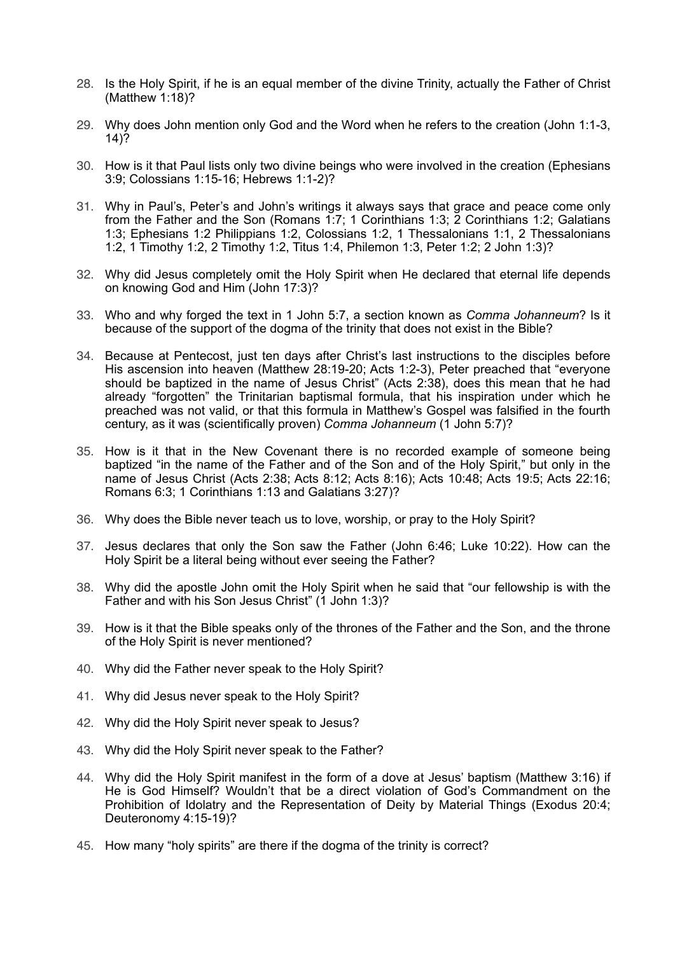- 28. Is the Holy Spirit, if he is an equal member of the divine Trinity, actually the Father of Christ (Matthew 1:18)?
- 29. Why does John mention only God and the Word when he refers to the creation (John 1:1-3, 14)?
- 30. How is it that Paul lists only two divine beings who were involved in the creation (Ephesians 3:9; Colossians 1:15-16; Hebrews 1:1-2)?
- 31. Why in Paul's, Peter's and John's writings it always says that grace and peace come only from the Father and the Son (Romans 1:7; 1 Corinthians 1:3; 2 Corinthians 1:2; Galatians 1:3; Ephesians 1:2 Philippians 1:2, Colossians 1:2, 1 Thessalonians 1:1, 2 Thessalonians 1:2, 1 Timothy 1:2, 2 Timothy 1:2, Titus 1:4, Philemon 1:3, Peter 1:2; 2 John 1:3)?
- 32. Why did Jesus completely omit the Holy Spirit when He declared that eternal life depends on knowing God and Him (John 17:3)?
- 33. Who and why forged the text in 1 John 5:7, a section known as *Comma Johanneum*? Is it because of the support of the dogma of the trinity that does not exist in the Bible?
- 34. Because at Pentecost, just ten days after Christ's last instructions to the disciples before His ascension into heaven (Matthew 28:19-20; Acts 1:2-3), Peter preached that "everyone should be baptized in the name of Jesus Christ" (Acts 2:38), does this mean that he had already "forgotten" the Trinitarian baptismal formula, that his inspiration under which he preached was not valid, or that this formula in Matthew's Gospel was falsified in the fourth century, as it was (scientifically proven) *Comma Johanneum* (1 John 5:7)?
- 35. How is it that in the New Covenant there is no recorded example of someone being baptized "in the name of the Father and of the Son and of the Holy Spirit," but only in the name of Jesus Christ (Acts 2:38; Acts 8:12; Acts 8:16); Acts 10:48; Acts 19:5; Acts 22:16; Romans 6:3; 1 Corinthians 1:13 and Galatians 3:27)?
- 36. Why does the Bible never teach us to love, worship, or pray to the Holy Spirit?
- 37. Jesus declares that only the Son saw the Father (John 6:46; Luke 10:22). How can the Holy Spirit be a literal being without ever seeing the Father?
- 38. Why did the apostle John omit the Holy Spirit when he said that "our fellowship is with the Father and with his Son Jesus Christ" (1 John 1:3)?
- 39. How is it that the Bible speaks only of the thrones of the Father and the Son, and the throne of the Holy Spirit is never mentioned?
- 40. Why did the Father never speak to the Holy Spirit?
- 41. Why did Jesus never speak to the Holy Spirit?
- 42. Why did the Holy Spirit never speak to Jesus?
- 43. Why did the Holy Spirit never speak to the Father?
- 44. Why did the Holy Spirit manifest in the form of a dove at Jesus' baptism (Matthew 3:16) if He is God Himself? Wouldn't that be a direct violation of God's Commandment on the Prohibition of Idolatry and the Representation of Deity by Material Things (Exodus 20:4; Deuteronomy 4:15-19)?
- 45. How many "holy spirits" are there if the dogma of the trinity is correct?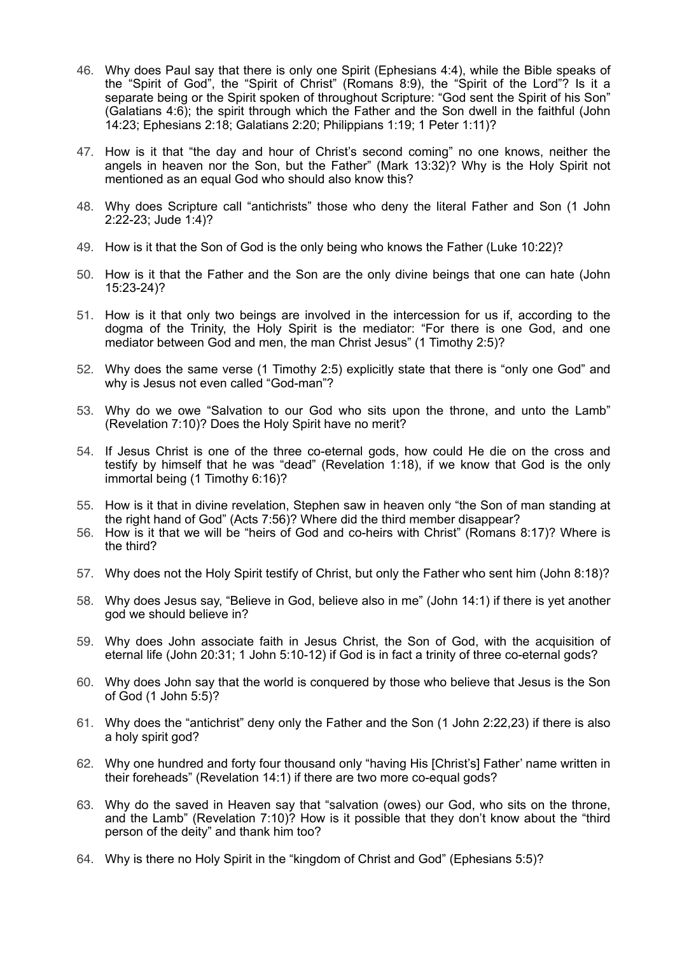- 46. Why does Paul say that there is only one Spirit (Ephesians 4:4), while the Bible speaks of the "Spirit of God", the "Spirit of Christ" (Romans 8:9), the "Spirit of the Lord"? Is it a separate being or the Spirit spoken of throughout Scripture: "God sent the Spirit of his Son" (Galatians 4:6); the spirit through which the Father and the Son dwell in the faithful (John 14:23; Ephesians 2:18; Galatians 2:20; Philippians 1:19; 1 Peter 1:11)?
- 47. How is it that "the day and hour of Christ's second coming" no one knows, neither the angels in heaven nor the Son, but the Father" (Mark 13:32)? Why is the Holy Spirit not mentioned as an equal God who should also know this?
- 48. Why does Scripture call "antichrists" those who deny the literal Father and Son (1 John 2:22-23; Jude 1:4)?
- 49. How is it that the Son of God is the only being who knows the Father (Luke 10:22)?
- 50. How is it that the Father and the Son are the only divine beings that one can hate (John 15:23-24)?
- 51. How is it that only two beings are involved in the intercession for us if, according to the dogma of the Trinity, the Holy Spirit is the mediator: "For there is one God, and one mediator between God and men, the man Christ Jesus" (1 Timothy 2:5)?
- 52. Why does the same verse (1 Timothy 2:5) explicitly state that there is "only one God" and why is Jesus not even called "God-man"?
- 53. Why do we owe "Salvation to our God who sits upon the throne, and unto the Lamb" (Revelation 7:10)? Does the Holy Spirit have no merit?
- 54. If Jesus Christ is one of the three co-eternal gods, how could He die on the cross and testify by himself that he was "dead" (Revelation 1:18), if we know that God is the only immortal being (1 Timothy 6:16)?
- 55. How is it that in divine revelation, Stephen saw in heaven only "the Son of man standing at the right hand of God" (Acts 7:56)? Where did the third member disappear?
- 56. How is it that we will be "heirs of God and co-heirs with Christ" (Romans 8:17)? Where is the third?
- 57. Why does not the Holy Spirit testify of Christ, but only the Father who sent him (John 8:18)?
- 58. Why does Jesus say, "Believe in God, believe also in me" (John 14:1) if there is yet another god we should believe in?
- 59. Why does John associate faith in Jesus Christ, the Son of God, with the acquisition of eternal life (John 20:31; 1 John 5:10-12) if God is in fact a trinity of three co-eternal gods?
- 60. Why does John say that the world is conquered by those who believe that Jesus is the Son of God (1 John 5:5)?
- 61. Why does the "antichrist" deny only the Father and the Son (1 John 2:22,23) if there is also a holy spirit god?
- 62. Why one hundred and forty four thousand only "having His [Christ's] Father' name written in their foreheads" (Revelation 14:1) if there are two more co-equal gods?
- 63. Why do the saved in Heaven say that "salvation (owes) our God, who sits on the throne, and the Lamb" (Revelation 7:10)? How is it possible that they don't know about the "third person of the deity" and thank him too?
- 64. Why is there no Holy Spirit in the "kingdom of Christ and God" (Ephesians 5:5)?